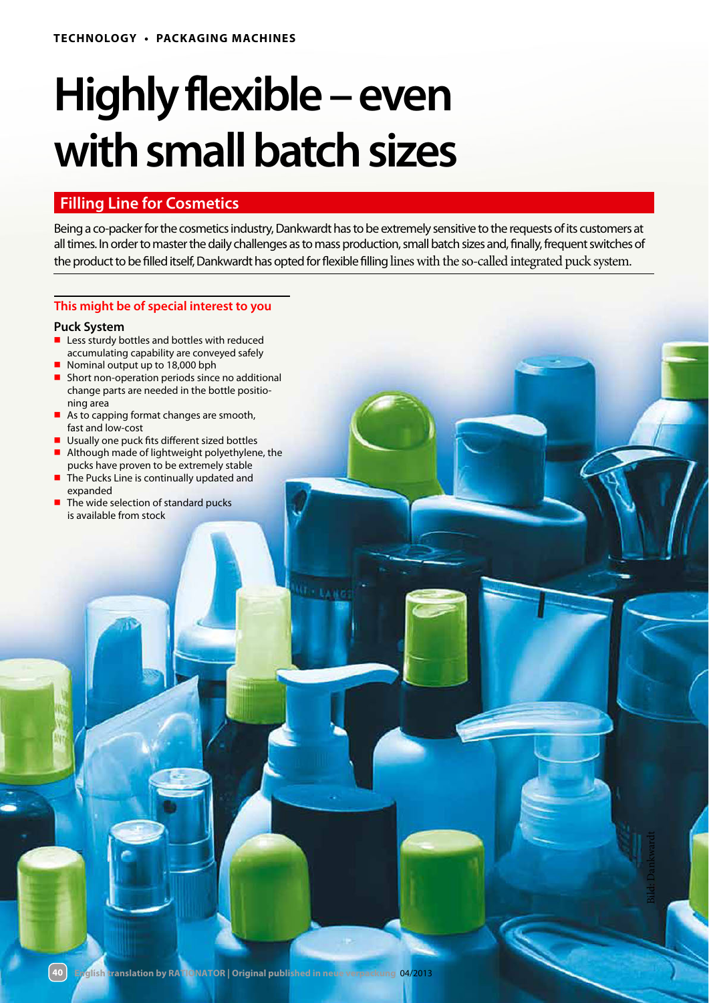# **Highly flexible – even with small batch sizes**

## **Filling Line for Cosmetics**

Being a co-packer for the cosmetics industry, Dankwardt has to be extremely sensitive to the requests of its customers at all times. In order to master the daily challenges as to mass production, small batch sizes and, finally, frequent switches of the product to be filled itself, Dankwardt has opted for flexible filling lines with the so-called integrated puck system.

0 - гаа

### **This might be of special interest to you**

#### **Puck System**

**40**

- Less sturdy bottles and bottles with reduced accumulating capability are conveyed safely
- Nominal output up to 18,000 bph
- Short non-operation periods since no additional change parts are needed in the bottle positioning area
- As to capping format changes are smooth, fast and low-cost
- Usually one puck fits different sized bottles
- Although made of lightweight polyethylene, the pucks have proven to be extremely stable
- The Pucks Line is continually updated and expanded
- The wide selection of standard pucks is available from stock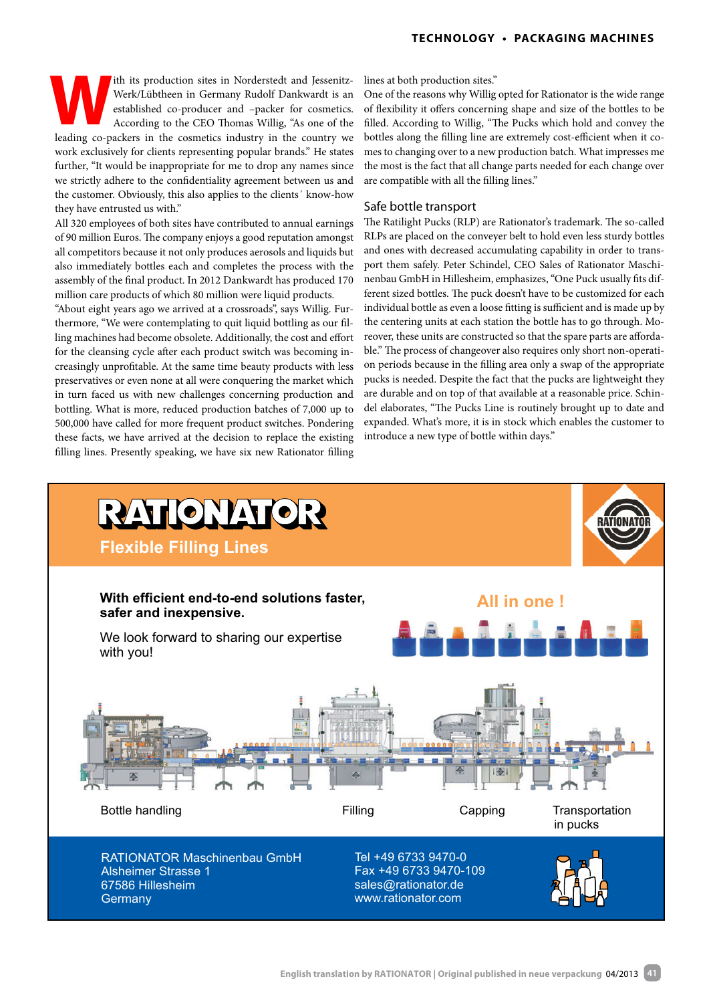ith its production sites in Norderstedt and Jessenitz-Werk/Lübtheen in Germany Rudolf Dankwardt is an established co-producer and –packer for cosmetics. According to the CEO Thomas Willig, "As one of the Ith its production sites in Norderstedt and Jessenitz-<br>Werk/Lübtheen in Germany Rudolf Dankwardt is an<br>established co-producer and -packer for cosmetics.<br>According to the CEO Thomas Willig, "As one of the<br>leading co-packer work exclusively for clients representing popular brands." He states further, "It would be inappropriate for me to drop any names since we strictly adhere to the confidentiality agreement between us and the customer. Obviously, this also applies to the clients´ know-how they have entrusted us with."

All 320 employees of both sites have contributed to annual earnings of 90 million Euros. The company enjoys a good reputation amongst all competitors because it not only produces aerosols and liquids but also immediately bottles each and completes the process with the assembly of the final product. In 2012 Dankwardt has produced 170 million care products of which 80 million were liquid products.

"About eight years ago we arrived at a crossroads", says Willig. Furthermore, "We were contemplating to quit liquid bottling as our filling machines had become obsolete. Additionally, the cost and effort for the cleansing cycle after each product switch was becoming increasingly unprofitable. At the same time beauty products with less preservatives or even none at all were conquering the market which in turn faced us with new challenges concerning production and bottling. What is more, reduced production batches of 7,000 up to 500,000 have called for more frequent product switches. Pondering these facts, we have arrived at the decision to replace the existing filling lines. Presently speaking, we have six new Rationator filling lines at both production sites."

One of the reasons why Willig opted for Rationator is the wide range of flexibility it offers concerning shape and size of the bottles to be filled. According to Willig, "The Pucks which hold and convey the bottles along the filling line are extremely cost-efficient when it comes to changing over to a new production batch. What impresses me the most is the fact that all change parts needed for each change over are compatible with all the filling lines."

#### Safe bottle transport

The Ratilight Pucks (RLP) are Rationator's trademark. The so-called RLPs are placed on the conveyer belt to hold even less sturdy bottles and ones with decreased accumulating capability in order to transport them safely. Peter Schindel, CEO Sales of Rationator Maschinenbau GmbH in Hillesheim, emphasizes, "One Puck usually fits different sized bottles. The puck doesn't have to be customized for each individual bottle as even a loose fitting is sufficient and is made up by the centering units at each station the bottle has to go through. Moreover, these units are constructed so that the spare parts are affordable." The process of changeover also requires only short non-operation periods because in the filling area only a swap of the appropriate pucks is needed. Despite the fact that the pucks are lightweight they are durable and on top of that available at a reasonable price. Schindel elaborates, "The Pucks Line is routinely brought up to date and expanded. What's more, it is in stock which enables the customer to introduce a new type of bottle within days."